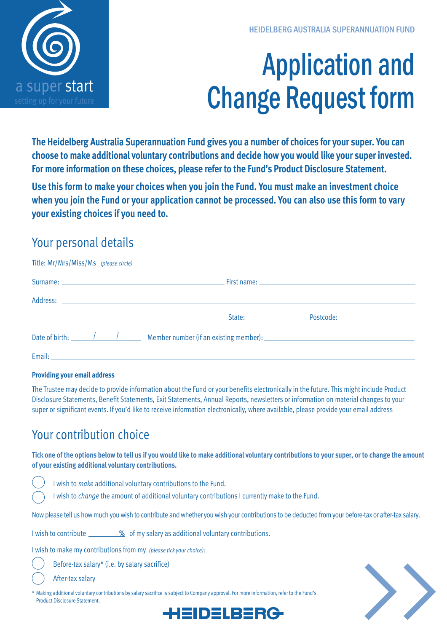# Application and Change Request form

**The Heidelberg Australia Superannuation Fund gives you a number of choices for your super. You can choose to make additional voluntary contributions and decide how you would like your super invested. For more information on these choices, please refer to the Fund's Product Disclosure Statement.**

**Use this form to make your choices when you join the Fund. You must make an investment choice when you join the Fund or your application cannot be processed. You can also use this form to vary your existing choices if you need to.**

#### Your personal details

| Title: Mr/Mrs/Miss/Ms (please circle)                                        |  |  |
|------------------------------------------------------------------------------|--|--|
|                                                                              |  |  |
|                                                                              |  |  |
|                                                                              |  |  |
| Date of birth: <u>Alexander Alexander Alexander (if an existing member):</u> |  |  |
|                                                                              |  |  |

#### **Providing your email address**

The Trustee may decide to provide information about the Fund or your benefits electronically in the future. This might include Product Disclosure Statements, Benefit Statements, Exit Statements, Annual Reports, newsletters or information on material changes to your super or significant events. If you'd like to receive information electronically, where available, please provide your email address

#### Your contribution choice

**Tick one of the options below to tell us if you would like to make additional voluntary contributions to your super, or to change the amount of your existing additional voluntary contributions.** 

- I wish to *make* additional voluntary contributions to the Fund.
- I wish to *change* the amount of additional voluntary contributions I currently make to the Fund.

Now please tell us how much you wish to contribute and whether you wish your contributions to be deducted from your before-tax or after-tax salary.

EIDELRERG

I wish to contribute **%** of my salary as additional voluntary contributions.

I wish to make my contributions from my *(please tick your choice)*:

Before-tax salary\* (i.e. by salary sacrifice)

After-tax salary

\* Making additional voluntary contributions by salary sacrifice is subject to Company approval. For more information, refer to the Fund's Product Disclosure Statement.